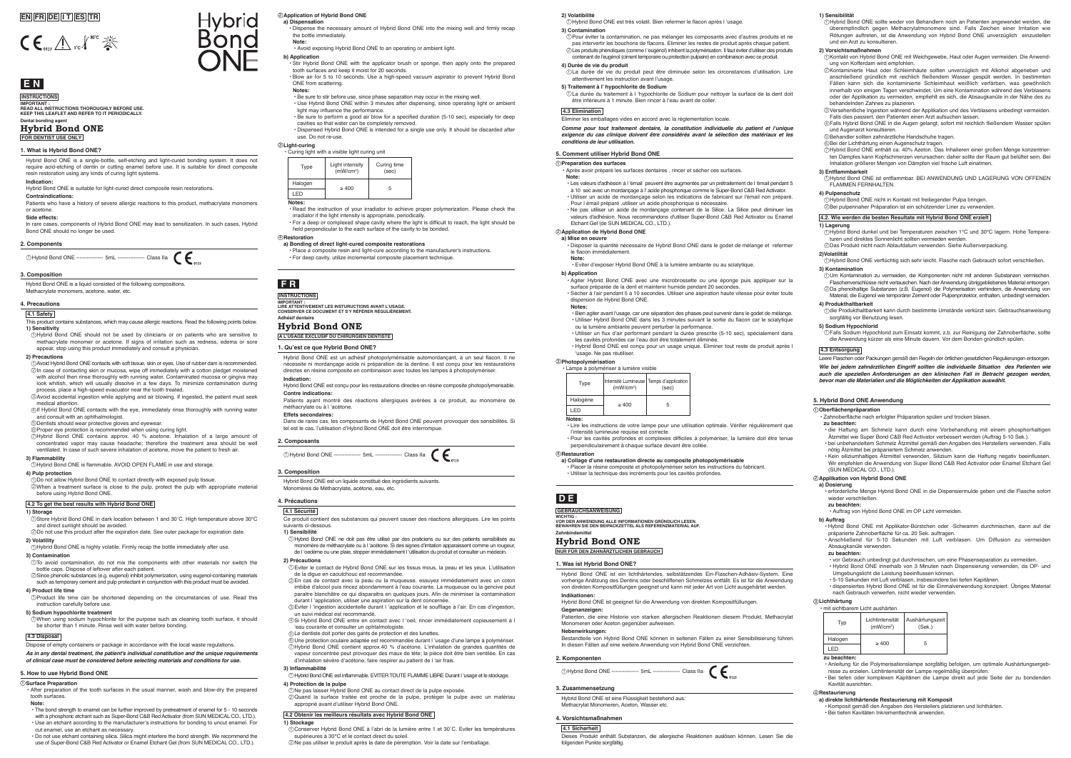Hybrid Bond ONE is a liquid consisted of the following compositions. Methacrylate monomers, acetone, water, etc.

### **3. Composition**

# **E N**

**Dental bonding agent Hybrid Bond ONE**

# **FOR DENTIST USE ONLY**

# **INSTRUCTIONS IMPORTANT : READ ALL INSTRUCTIONS THOROUGHLY BEFORE USE. KEEP THIS LEAFLET AND REFER TO IT PERIODICALLY.**

Hybrid Bond ONE is a single-bottle, self-etching and light-cured bonding system. It does not require acid-etching of dentin or cutting enamel before use. It is suitable for direct composite resin restoration using any kinds of curing light systems.

In rare cases, components of Hybrid Bond ONE may lead to sensitization. In such cases, Hybrid Bond ONE should no longer be used.

# **Indication:**

# Hybrid Bond ONE is suitable for light-cured direct composite resin restorations.

**Contraindications:** Patients who have a history of severe allergic reactions to this product, methacrylate monomers or acetone.

### **Side effects:**

# **1. What is Hybrid Bond ONE?**

# **EN FR DE I T ES TR**



**A L'USAGE EXCLUSIF DU CHIRURGIEN DENTISTE**

# **Hybrid Bond ONE**

# **INSTRUCTIONS**

**Adhésif dentaire IMPORTANT : LIRE ATTENTIVEMENT LES INSTURUCTIONS AVANT L'USAGE. CONSERVER CE DOCUMENT ET S'Y RÉFÉRER RÉGULIÈREMENT.**

# **F R**

**NUR FÜR DEN ZAHNÄRZTLICHEN GEBRAUCH**

WICHTIG :<br>VOR DER ANWENDUNG ALLE INFORMATIONEN GRÜNDLICH LESEN.<br>BEWAHREN SIE DEN BEIPACKZETTEL ALS REFERENZMATERIAL AUF.

Intensité Lumineuse | Temps d'application

**Hybrid Bond ONE**

**1) Sensitivity** Hybrid Bond ONE should not be used by clinicians or on patients who are sensitive to 1 methacrylate monomer or acetone. If signs of irritation such as redness, edema or sore appear, stop using this product immediately and consult a physician.

**GEBRAUCHSANWEISUNG**

**D E**

### **2. Components**



Hybrid Bond ONE ist eine Flüssigkeit bestehend aus: Methacrylat Monomeren, Aceton, Wasser etc.

Monomeren oder Aceton gegenüber aufweiser.

**3. Zusammensetzung**

Hybrid Bond ONE ist ein lichthärtendes, selbstätzendes Ein-Flaschen-Adhäsiv-System. Eine vorherige Anätzung des Dentins oder beschliffenen Schmelzes entfällt. Es ist für die Anwendung von direkten Kompositfüllungen geeignet und kann mit jeder Art von Licht ausgehärtet werden.

**Indikationen:** 

Hybrid Bond ONE ist geeignet für die Anwendung von direkten Kompositfüllungen.

**Gegenanzeigen:**

Patienten, die eine Historie von starken allergischen Reaktionen diesem Produkt, Methacrylat

**Nebenwirkungen:**

Bestandteile von Hybrid Bond ONE können in seltenen Fällen zu einer Sensibilisierung führen.

In diesen Fällen auf eine weitere Anwendung von Hybrid Bond ONE verzichten.

①Hybrid Bond ONE --------------- 5mL --------------- Class Ila (

**1. Was ist Hybrid Bond ONE?**

**2. Komponenten**

### **4.1 Safety**

- $D$ To avoid contamination, do not mix the components with other materials nor switch the bottle caps. Dispose of leftover after each patient.
- Since phenolic substances (e.g. eugenol) inhibit polymerization, using eugenol-containing materials 2 such as temporary cement and pulp protectant in conjunction with this product must be avoided.

This product contains substances, which may cause allergic reactions. Read the following points below.

- Dispose of empty containers or package in accordance with the local waste regulations.
- *As in any dental treatment, the patient's individual constitution and the unique requirements of clinical case must be considered before selecting materials and conditions for use.*

#### **2) Precautions**

⊚Bei der Lichthärtung einen Augenschutz tragen.<br>⑦Hybrid Bond ONE enthält ca. 40% Azeton. Das Inhalieren einer großen Menge konzentrierten Dampfes kann Kopfschmerzen verursachen: daher sollte der Raum gut belüftet sein. Bei Inhalation größerer Mengen von Dämpfen viel frische Luft einatmen.

Hybrid Bond ONE contains approx. 40 % acetone. Inhalation of a large amount of 7 concentrated vapor may cause headache; therefore the treatment area should be well ventilated. In case of such severe inhalation of acetone, move the patient to fresh air. **3) Flammability**

Hybrid Bond ONE is flammable. AVOID OPEN FLAME in use and storage. 1 **4) Pulp protection**

Do not allow Hybrid Bond ONE to contact directly with exposed pulp tissue. 1 When a treatment surface is close to the pulp, protect the pulp with appropriate material 2 before using Hybrid Bond ONE.

# **4.2 To get the best results with Hybrid Bond ONE**

- Avoid Hybrid Bond ONE contacts with soft tissue, skin or eyes. Use of rubber dam is recommended. 1 In case of contacting skin or mucosa, wipe off immediately with a cotton pledget moistened with alcohol then rinse thoroughly with running water. Contaminated mucosa or gingiva may 2 look whitish, which will usually dissolve in a few days. To minimize contamination
- process, place a high-speed evacuator near the tooth treated. Avoid accidental ingestion while applying and air blowing. If ingested, the patient must seek 3 medical attention.
- $\textcircled{\iota}$ If Hybrid Bond ONE contacts with the eye, immediately rinse thoroughly with running water and consult with an ophthalmologist
- Dentists should wear protective gloves and eyewear. 5

 $\circledcirc$ Proper eye protection is recommended when using curing light.

### **1) Storage**

Store Hybrid Bond ONE in dark location between 1 and 30˚C. High temperature above 30℃ 1 and direct sunlight should be avoided.

### **3) Contamination**

Dans de rares cas, les composants de Hybrid Bond ONE peuvent provoquer des sensibilités. Si tel est le cas, l'utilisation d'Hybrid Bond ONE doit être interrompue

### **4) Product life time**

#### Do not use this product after the expiration date. See outer package for expiration date. 2

Product life time can be shortened depending on the circumstances of use. Read this 1 instruction carefully before use.

**2) Volatility** Hybrid Bond ONE is highly volatile. Firmly recap the bottle immediately after use. 1

#### **5) Sodium hypochlorite treatment**

When using sodium hypochlorite for the purpose such as cleaning tooth surface, it should 1 be shorter than 1 minute. Rinse well with water before bonding.

### **4.3 Disposal**

### **4. Precautions**

**4.1 Sicherheit**

Dieses Produkt enthält Substanzen, die allergische Reaktionen auslösen können. Lesen Sie die

folgenden Punkte sorgfältig.

**4. Vorsichtsmaßnahmen**

## **1) Sensibilität**

Hybrid Bond ONE sollte weder von Behandlern noch an Patienten angewendet werden, die überempfindlich gegen Methacrylatmonomere sind. Falls Zeichen einer Irritation wie 1 Rötungen auftreten, ist die Anwendung von Hybrid Bond ONE unverzüglich einzustellen und ein Arzt zu konsultieren.

### **2) Vorsichtsmaßnahmen**

Kontakt von Hybrid Bond ONE mit Weichgewebe, Haut oder Augen vermeiden. Die Anwend-1 ung von Kofferdam wird empfohlen.

Kontaminierte Haut oder Schleimhäute sollten unverzüglich mit Alkohol abgerieben und 2 anschließend gründlich mit reichlich fließendem Wasser gespült werden. In bestimmten Fällen kann sich die kontaminierte Schleimhaut weißlich verfärben, was gewöhnlich innerhalb von einigen Tagen verschwindet. Um eine Kontamination während des Verblasens oder der Applikation zu vermeiden, empfiehlt es sich, die Absaugkanüle in der Nähe des zu behandelnden Zahnes zu plazieren.

Versehentliche Ingestion während der Applikation und des Verblasens unbedingt vermeiden. 3 Falls dies passiert, den Patienten einen Arzt aufsuchen lassen.

Falls Hybrid Bond ONE in die Augen gelangt, sofort mit reichlich fließendem Wasser spülen 4 und Augenarzt konsultieren.

- a) Dispensation • Dispense the necessary amount of Hybrid Bond ONE into the mixing well and firmly recap the bottle immediately.
- Avoid exposing Hybrid Bond ONE to an operating or ambient light.

### **3) Entflammbarkeit**

Hybrid Bond ONE ist entflammbar. BEI ANWENDUNG UND LAGERUNG VON OFFENEN 1 FLAMMEN FERNHALTEN.

### **4) Pulpenschutz**

# **4.2. Wie werden die besten Resultate mit Hybrid Bond ONE erzielt**

### **1) Lagerung**

Hybrid Bond dunkel und bei Temperaturen zwischen 1°C und 30°C lagern. Hohe Tempera-1 turen und direktes Sonnenlicht sollten vermieden werden.

#### **2)Volatilität**

Hybrid Bond ONE verflüchtig sich sehr leicht. Flasche nach Gebrauch sofort verschließen. 1 **3) Kontamination**

Behandler sollten zahnärztliche Handschuhe tragen. 5

Um Kontamination zu vermeiden, die Komponenten nicht mit anderen Substanzen vermischen. 1 Flaschenverschlüsse nicht vertauschen. Nach der Anwendung übriggebliebenes Material entsorgen. Da phenolhaltige Substanzen (z.B. Eugenol) die Polymerisation verhindern, die Anwendung von 2 Material, die Eugenol wie temporärer Zement oder Pulpenprotektor, enthalten, unbedingt vermeiden.

Hybrid Bond ONE nicht in Kontakt mit freiliegender Pulpa bringen. 1

Bei pulpennaher Präparation ist ein schützender Liner zu verwenden. 2

### **4) Produkthaltbarkeit**

Das Produkt nicht nach Ablaufdatum verwenden. Siehe Außenverpackung. 2

die Produkthaltbarkeit kann durch bestimmte Umstände verkürzt sein. Gebrauchsanweisung 1 sorgfältig vor Benutzung lesen.

### **5) Sodium Hypochlorid**

Falls Sodium Hypochlorid zum Einsatz kommt, z.b. zur Reinigung der Zahnoberfläche, sollte 1 die Anwendung kürzer als eine Minute dauern. Vor dem Bonden gründlich spülen.

# **4.3 Entsorgung**

Leere Flaschen oder Packungen gemäß den Regeln der örtlichen gesetzlichen Regulierungen entsorgen. *Wie bei jedem zahnärztlichen Eingriff sollten die individuelle Situation des Patienten wie auch die speziellen Anforderungen an den klinischen Fall in Betracht gezogen werden, bevor man die Materialien und die Möglichkeiten der Applikation auswählt.*

Hybrid Bond ONE est un liquide constitué des ingrédients suivants. Monomères de Méthacrylate, acétone, eau, etc.

# **3. Composition**

'usage. Ne pas réutilise • Lampe à polymériser à lumière visible

Hybrid Bond ONE est un adhésif photopolymérisable automordançant, à un seul flacon. Il ne nécessite ni mordançage acide ni préparation de la dentine. Il est conçu pour les restaurations directes en résine composite en combinaison avec toutes les lampes à photopolymériser. **Indication:**

Hybrid Bond ONE est conçu pour les restaurations directes en résine composite photopolymerisable. **Contre indications:**

Patients ayant montré des réactions allergiques avérées à ce produit, au monomère de méthacrylate ou à l 'acétone.

### **Effets secondaires:**

### **1. Qu'est ce que Hybrid Bond ONE?**

# **2. Composants**

①Hybrid Bond ONE --------------- 5mL --------------- Class Ila (■

### **4.1 Sécurité**

Ce produit contient des substances qui peuvent causer des réactions allergiques. Lire les points suivants ci-dessous.

### **1) Sensibilité**

Hybrid Bond ONE ne doit pas être utilisé par des praticiens ou sur des patients sensibilisés au 1 monomère de méthacrylate ou à l'acétone. Si des signes d'irritation apparaissent comme un rougeur, de l 'oedème ou une plaie, stopper immédiatement l 'utilisation du produit et consulter un médecin.

### **2) Précautions**

- Eviter le contact de Hybrid Bond ONE sur les tissus mous, la peau et les yeux. L'utilisation 1 de la digue en caoutchouc est recommandée.
- En cas de contact avec la peau ou la muqueuse, essuyez immédiatement avec un coton 2 imbibé d'alcool puis rincez abondamment à l'eau courante. La muqueuse ou la gencive peut paraitre blanchâtre ce qui disparaitra en quelques jours. Afin de minimiser la contamination durant l 'application, utiliser une aspiration sur la dent concernée
- Eviter l 'ingestion accidentelle durant l 'application et le soufflage à l'air. En cas d'ingestion, 3 un suivi médical est recommandé.
- 4) Si Hybrid Bond ONE entre en contact avec l 'oeil, rincer immédiatement copieusement à l 'eau courante et consulter un ophtalmologiste.
- Le dentiste doit porter des gants de protection et des lunettes. 5

**4) Protection de la pulpe**<br>①Ne pas laisser Hybrid Bond ONE au contact direct de la pulpe exposée.

Une protection oculaire adaptée est recommandée durant l 'usage d'une lampe à polymériser. 6 Hybrid Bond ONE contient approx.40 % d'acétone. L'inhalation de grandes quantités de 7 vapeur concentrée peut provoquer des maux de tête; la pièce doit être bien ventilée. En cas d'inhalation sévère d'acétone, faire respirer au patient de l 'air frais.

**3) Inflammabilité**

approprié avant d'utiliser Hybrid Bond ONE.  **4.2 Obtenir les meilleurs résultats avec Hybrid Bond ONE**

Hybrid Bond ONE est inflammable. EVITER TOUTE FLAMME LIBRE Durant l 'usage et le stockage. 1

**1) Stockage**

Quand la surface traitée est proche de la pulpe, protéger la pulpe avec un matériau 2

supérieures à 30℃ et le contact direct du soleil.

Conserver Hybrid Bond ONE à l'abri de la lumière entre 1 et 30˚C. Eviter les températures 1

Ne pas utiliser le produit après la date de péremption. Voir la date sur l'emballage. 2

### **4. Précautions**

**2) Volatibilité**

Pour éviter la contamination, ne pas mélanger les composants avec d'autres produits et ne 1 pas intervertir les bouchons de flacons. Eliminer les restes de produit après chaque patient. Les produits phénoliques (comme l 'eugénol) inhibent la polymérisation. Il faut éviter d'utiliser des produits 2 contenant de l'eugénol (ciment temporaire ou protection pulpaire) en combinaison avec ce produit.

 $\mathfrak I$ La durée de vie du produit peut être diminuée selon les circonstances d'utilisation. Lire

**4) Durée de vie du produit**

Hybrid Bond ONE est très volatil. Bien refermer le flacon après l 'usage. 1

attentivement les instruction avant l'usage. **5) Traitement à l' hypochlorite de Sodium**

être inférieure à 1 minute. Bien rincer à l'eau avant de coller.

 **4.3 Elimination**

Eliminer les emballages vides en accord avec la réglementation locale.

La durée du traitement à l 'hypochlorite de Sodium pour nettoyer la surface de la dent doit 1

**Comme pour tout traitement dentaire, la constitution individuelle du patient et l'unique**  *exigence du cas clinique doivent être considérés avant la sélection des matériaux et les* 

*conditions de leur utilisation.*

**Note:**

**Hybrid** 

Bond

## **b) Application**

- Stir Hybrid Bond ONE with the applicator brush or sponge, then apply onto the prepared tooth surfaces and keep it moist for 20 seconds.
- Blow air for 5 to 10 seconds. Use a high-speed vacuum aspirator to prevent Hybrid Bond ONE from scattering.

| Type    | <b>Light intensity</b><br>(mW/cm <sup>2</sup> ) | Curing time<br>(sec) |  |  |
|---------|-------------------------------------------------|----------------------|--|--|
| Halogen | $\geq 400$                                      | 5                    |  |  |
| LED     |                                                 |                      |  |  |
| Notes:  |                                                 |                      |  |  |

### **Notes:**

- Be sure to stir before use, since phase separation may occur in the mixing well. • Use Hybrid Bond ONE within 3 minutes after dispensing, since operating light or ambient
- light may influence the performance. • Be sure to perform a good air blow for a specified duration (5-10 sec), especially for deep
- cavities so that water can be completely removed. • Dispensed Hybrid Bond ONE is intended for a single use only. It should be discarded after use. Do not re-use.

### **Application of Hybrid Bond ONE** 2

#### **Light-curing** 3 • Curing light with a visible light curing unit

• Read the instruction of your irradiator to achieve proper polymerization. Please check the irradiator if the light intensity is appropriate, periodically.

• For a deep or complexed shape cavity where the light is difficult to reach, the light should be held perpendicular to the each surface of the cavity to be bonded.

## **a) Bonding of direct light-cured composite restorations**

#### **Restoration** 4

• Place a composite resin and light-cure according to the manufacturer's instructions. • For deep cavity, utilize incremental composite placement technique.

## **5. How to use Hybrid Bond ONE**

## 1 **Surface Preparation**

- After preparation of the tooth surfaces in the usual manner, wash and blow-dry the prepared tooth surfaces.
- **Note:**
- The bond strength to enamel can be further improved by pretreatment of enamel for 5 10 seconds with a phosphoric etchant such as Super-Bond C&B Red Activator (from SUN MEDICAL CO., LTD.). • Use an etchant according to the manufacturer's instructions for bonding to uncut enamel. For cut enamel, use an etchant as necessary.
- Do not use etchant containing silica. Silica might interfere the bond strength. We recommend the use of Super-Bond C&B Red Activator or Enamel Etchant Gel (from SUN MEDICAL CO., LTD.).

Halogène LED

**Notes:**

• Lire les instructions de votre lampe pour une utilisation optimale. Vérifier régulièrement que

l'intensité lumineuse requise est correcte.

• Pour les cavités profondes et complexes difficiles à polymériser, la lumière doit être tenue

perpendiculairement à chaque surface devant être collée.

**a) Collage d'une restauration directe au composite photopolymérisable** • Placer la résine composite et photopolymériser selon les instructions du fabricant.

**Restauration** 4

**Zahnhi** 

• Utiliser la technique des incréments pour les cavités profondes.

**5. Comment utiliser Hybrid Bond ONE**

1 **Preparation des surfaces**

• Après avoir préparé les surfaces dentaires , rincer et sécher ces surfaces.

**3) Contan** 

**Note:**

2 **Application de Hybrid Bond ONE**

• Les valeurs d'adhésion à l 'émail peuvent être augmentés par un prétraitement de l 'émail pendant 5 à 10 sec avec un mordançage à l' acide phosphorique comme le Super-Bond C&B Red Activator. • Utiliser un acide de mordançage selon les indications de fabricant sur l'émail non préparé. Pour I émail préparé ,utiliser un acide phosphorique si nécessaire.<br>• Ne pas utiliser un acide de mordançage contenant de la Silice. La Silice peut diminuer les valeurs d'adhésion. Nous recommandons d'utiliser Super-Bond C&B Red Activator ou Enamel

Etchant Gel (de SUN MEDICAL CO., LTD.).

**a) Mise en oeuvre**

• Disposer la quantité nécessaire de Hybrid Bond ONE dans le godet de mélange et refermer

le flacon immédiatement.

**Note:**

3 **Photopolymérisation**

• Eviter d'exposer Hybrid Bond ONE à la lumière ambiante ou au scialytique.

**b) Application**

• Agiter Hybrid Bond ONE avec une microbrossette ou une éponge puis appliquer sur la

surface préparée de la dent et maintenir humide pendant 20 secondes.

• Sécher à l'air pendant 5 à 10 secondes. Utiliser une aspiration haute vitesse pour éviter toute

dispersion de Hybrid Bond ONE.

**Notes:**

• Bien agiter avant l'usage, car une séparation des phases peut survenir dans le godet de mélange. • Utiliser Hybrid Bond ONE dans les 3 minutes suivant la sortie du flacon car le scialytique

ou la lumière ambiante peuvent perturber la performance.

• Utiliser un flux d'air performant pendant la durée prescrite (5-10 sec), spécialement dans

les cavités profondes car l'eau doit être totalement éliminée.

Type  $(mW/cm<sup>2</sup>)$  Type  $(sec)$ 

 $>400$ 

• Hybrid Bond ONE est conçu pour un usage unique. Eliminer tout reste de produit après l

|  | Typ     | Lichtintensität<br>(mW/cm <sup>2</sup> ) | Aushärtungszeit<br>(Sek.) |
|--|---------|------------------------------------------|---------------------------|
|  | Halogen | >400                                     | 5                         |
|  |         |                                          |                           |

## **zu beachten:**

- Anleitung für die Polymerisationslampe sorgfältig befolgen, um optimale Aushärtungsergeb-
- nisse zu erzielen. Lichtintensität der Lampe regelmäßig überprüfen. Bei tiefen oder komplexen Kapitänen die Lampe direkt auf jede Seite der zu bondenden Kavität ausrichten.

### **Restaurierung** 4

- **a) direkte lichthärtende Restaurierung mit Komposit**
- Komposit gemäß den Angaben des Herstellers platzieren und lichthärten. Bei tiefen Kavitäten Inkrementtechnik anwenden.
- 

## **5. Hybrid Bond ONE Anwendung**

#### 1 **Oberflächenpräparation**

• Zahnoberfläche nach erfolgter Präparation spülen und trocken blasen.

### **zu beachten:**

#### 2 **Applikation von Hybrid Bond ONE a) Dosierung**

- die Haftung am Schmelz kann durch eine Vorbehandlung mit einem phosphorhaltigen Ätzmittel wie Super Bond C&B Red Activator verbessert werden (Auftrag 5-10 Sek.).
- bei unbehandeltem Schmelz Ätzmittel gemäß den Angaben des Herstellers verwenden. Falls nötig Ätzmittel bei präpariertem Schmelz anwenden.
- Kein siliziumhaltiges Ätzmittel verwenden, Silizium kann die Haftung negativ beeinflussen. Wir empfehlen die Anwendung von Super Bond C&B Red Activator oder Enamel Etchant Gel (SUN MEDICAL CO., LTD.).

- erforderliche Menge Hybrid Bond ONE in die Dispensiermulde geben und die Flasche sofort wieder verschließen
- **zu beachten:**
- Auftrag von Hybrid Bond ONE im OP Licht vermeiden.

### 3 **Lichthärtung**

### **b) Auftrag**

- Hybrid Bond ONE mit Applikator-Bürstchen oder -Schwamm durchmischen, dann auf die präparierte Zahnoberfläche für ca. 20 Sek. auftragen.
- Anschließend für 5-10 Sekunden mit Luft verblasen. Um Diffusion zu vermeiden Absaugkanüle verwenden.

#### **zu beachten:**

- 
- vor Gebrauch unbedingt gut durchmischen, um eine Phasenseparation zu vermeiden. Hybrid Bond ONE innerhalb von 3 Minuten nach Dispensierung verwenden, da OP- und Umgebungslicht die Leistung beeinflussen können.
- 5-10 Sekunden mit Luft verblasen, insbesondere bei tiefen Kapitänen.
- dispensiertes Hybrid Bond ONE ist für die Einmalverwendung konzipiert. Übriges Material nach Gebrauch verwerfen, nicht wieder verwenden.

• mit sichtbarem Licht aushärten